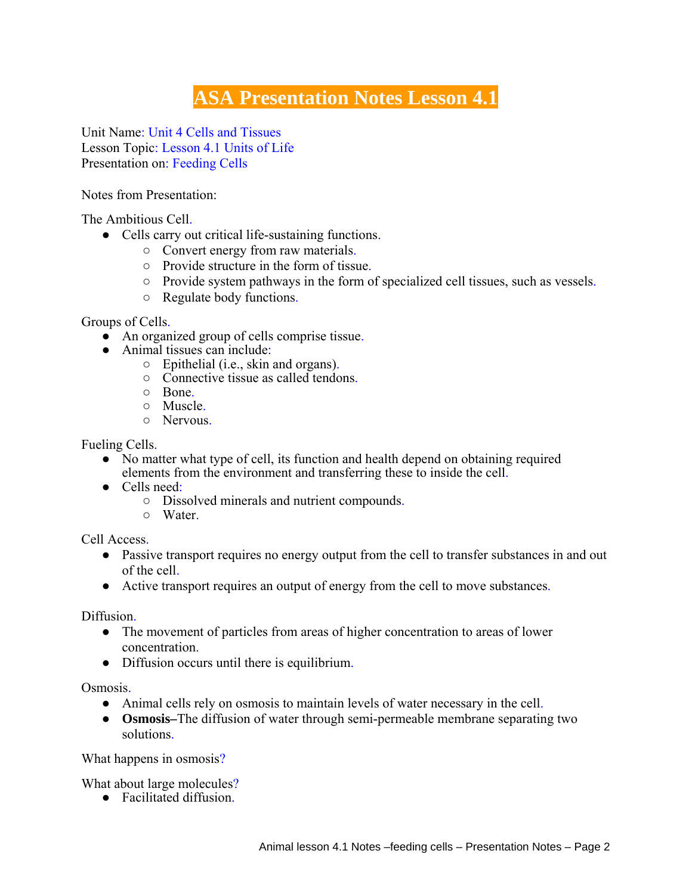## **ASA Presentation Notes Lesson 4.1**

Unit Name: Unit 4 Cells and Tissues Lesson Topic: Lesson 4.1 Units of Life Presentation on: Feeding Cells

Notes from Presentation:

The Ambitious Cell.

- Cells carry out critical life-sustaining functions.
	- Convert energy from raw materials.
	- Provide structure in the form of tissue.
	- Provide system pathways in the form of specialized cell tissues, such as vessels.
	- Regulate body functions.

Groups of Cells.

- An organized group of cells comprise tissue.
- Animal tissues can include:
	- Epithelial (i.e., skin and organs).
	- Connective tissue as called tendons.
	- $\circ$  Bone.
	- Muscle.
	- Nervous.

Fueling Cells.

- No matter what type of cell, its function and health depend on obtaining required elements from the environment and transferring these to inside the cell.
- Cells need:
	- Dissolved minerals and nutrient compounds.
	- Water.

Cell Access.

- Passive transport requires no energy output from the cell to transfer substances in and out of the cell.
- Active transport requires an output of energy from the cell to move substances.

Diffusion.

- The movement of particles from areas of higher concentration to areas of lower concentration.
- Diffusion occurs until there is equilibrium.

Osmosis.

- Animal cells rely on osmosis to maintain levels of water necessary in the cell.
- **Osmosis–**The diffusion of water through semi-permeable membrane separating two solutions.

What happens in osmosis?

What about large molecules?

● Facilitated diffusion.